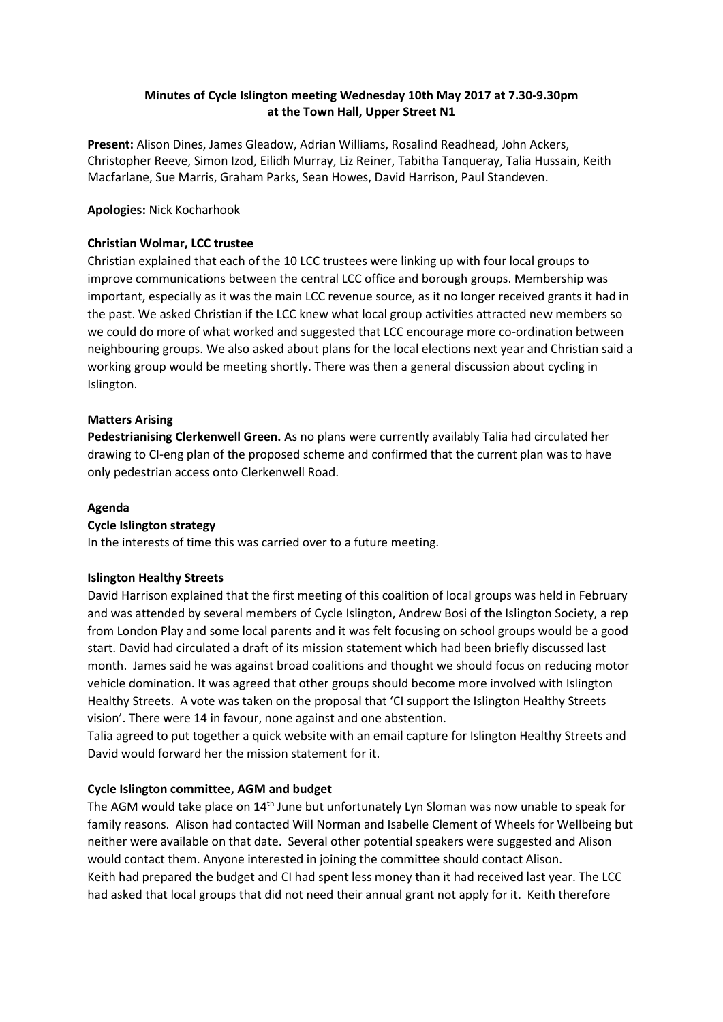# **Minutes of Cycle Islington meeting Wednesday 10th May 2017 at 7.30-9.30pm at the Town Hall, Upper Street N1**

**Present:** Alison Dines, James Gleadow, Adrian Williams, Rosalind Readhead, John Ackers, Christopher Reeve, Simon Izod, Eilidh Murray, Liz Reiner, Tabitha Tanqueray, Talia Hussain, Keith Macfarlane, Sue Marris, Graham Parks, Sean Howes, David Harrison, Paul Standeven.

# **Apologies:** Nick Kocharhook

# **Christian Wolmar, LCC trustee**

Christian explained that each of the 10 LCC trustees were linking up with four local groups to improve communications between the central LCC office and borough groups. Membership was important, especially as it was the main LCC revenue source, as it no longer received grants it had in the past. We asked Christian if the LCC knew what local group activities attracted new members so we could do more of what worked and suggested that LCC encourage more co-ordination between neighbouring groups. We also asked about plans for the local elections next year and Christian said a working group would be meeting shortly. There was then a general discussion about cycling in Islington.

# **Matters Arising**

**Pedestrianising Clerkenwell Green.** As no plans were currently availably Talia had circulated her drawing to CI-eng plan of the proposed scheme and confirmed that the current plan was to have only pedestrian access onto Clerkenwell Road.

# **Agenda**

# **Cycle Islington strategy**

In the interests of time this was carried over to a future meeting.

#### **Islington Healthy Streets**

David Harrison explained that the first meeting of this coalition of local groups was held in February and was attended by several members of Cycle Islington, Andrew Bosi of the Islington Society, a rep from London Play and some local parents and it was felt focusing on school groups would be a good start. David had circulated a draft of its mission statement which had been briefly discussed last month. James said he was against broad coalitions and thought we should focus on reducing motor vehicle domination. It was agreed that other groups should become more involved with Islington Healthy Streets. A vote was taken on the proposal that 'CI support the Islington Healthy Streets vision'. There were 14 in favour, none against and one abstention.

Talia agreed to put together a quick website with an email capture for Islington Healthy Streets and David would forward her the mission statement for it.

# **Cycle Islington committee, AGM and budget**

The AGM would take place on 14<sup>th</sup> June but unfortunately Lyn Sloman was now unable to speak for family reasons. Alison had contacted Will Norman and Isabelle Clement of Wheels for Wellbeing but neither were available on that date. Several other potential speakers were suggested and Alison would contact them. Anyone interested in joining the committee should contact Alison. Keith had prepared the budget and CI had spent less money than it had received last year. The LCC had asked that local groups that did not need their annual grant not apply for it. Keith therefore